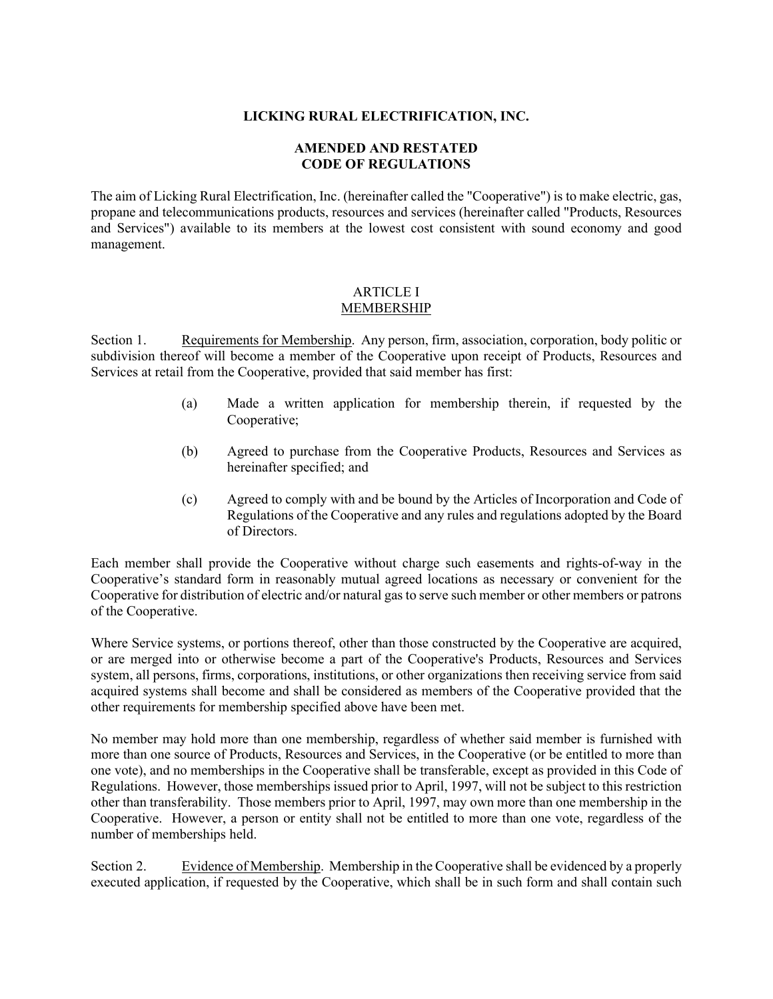## **LICKING RURAL ELECTRIFICATION, INC.**

# **AMENDED AND RESTATED CODE OF REGULATIONS**

The aim of Licking Rural Electrification, Inc. (hereinafter called the "Cooperative") is to make electric, gas, propane and telecommunications products, resources and services (hereinafter called "Products, Resources and Services") available to its members at the lowest cost consistent with sound economy and good management.

### ARTICLE I MEMBERSHIP

Section 1. Requirements for Membership. Any person, firm, association, corporation, body politic or subdivision thereof will become a member of the Cooperative upon receipt of Products, Resources and Services at retail from the Cooperative, provided that said member has first:

- (a) Made a written application for membership therein, if requested by the Cooperative;
- (b) Agreed to purchase from the Cooperative Products, Resources and Services as hereinafter specified; and
- (c) Agreed to comply with and be bound by the Articles of Incorporation and Code of Regulations of the Cooperative and any rules and regulations adopted by the Board of Directors.

Each member shall provide the Cooperative without charge such easements and rights-of-way in the Cooperative's standard form in reasonably mutual agreed locations as necessary or convenient for the Cooperative for distribution of electric and/or natural gas to serve such member or other members or patrons of the Cooperative.

Where Service systems, or portions thereof, other than those constructed by the Cooperative are acquired, or are merged into or otherwise become a part of the Cooperative's Products, Resources and Services system, all persons, firms, corporations, institutions, or other organizations then receiving service from said acquired systems shall become and shall be considered as members of the Cooperative provided that the other requirements for membership specified above have been met.

No member may hold more than one membership, regardless of whether said member is furnished with more than one source of Products, Resources and Services, in the Cooperative (or be entitled to more than one vote), and no memberships in the Cooperative shall be transferable, except as provided in this Code of Regulations. However, those memberships issued prior to April, 1997, will not be subject to this restriction other than transferability. Those members prior to April, 1997, may own more than one membership in the Cooperative. However, a person or entity shall not be entitled to more than one vote, regardless of the number of memberships held.

Section 2. Evidence of Membership. Membership in the Cooperative shall be evidenced by a properly executed application, if requested by the Cooperative, which shall be in such form and shall contain such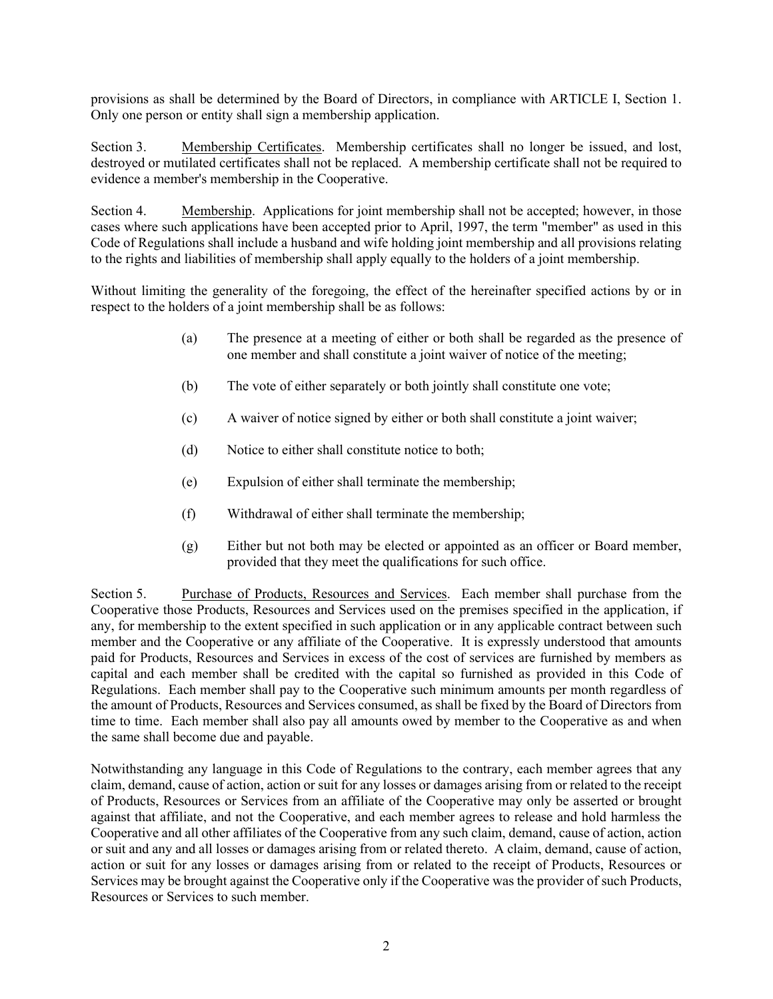provisions as shall be determined by the Board of Directors, in compliance with ARTICLE I, Section 1. Only one person or entity shall sign a membership application.

Section 3. Membership Certificates. Membership certificates shall no longer be issued, and lost, destroyed or mutilated certificates shall not be replaced. A membership certificate shall not be required to evidence a member's membership in the Cooperative.

Section 4. Membership. Applications for joint membership shall not be accepted; however, in those cases where such applications have been accepted prior to April, 1997, the term "member" as used in this Code of Regulations shall include a husband and wife holding joint membership and all provisions relating to the rights and liabilities of membership shall apply equally to the holders of a joint membership.

Without limiting the generality of the foregoing, the effect of the hereinafter specified actions by or in respect to the holders of a joint membership shall be as follows:

- (a) The presence at a meeting of either or both shall be regarded as the presence of one member and shall constitute a joint waiver of notice of the meeting;
- (b) The vote of either separately or both jointly shall constitute one vote;
- (c) A waiver of notice signed by either or both shall constitute a joint waiver;
- (d) Notice to either shall constitute notice to both;
- (e) Expulsion of either shall terminate the membership;
- (f) Withdrawal of either shall terminate the membership;
- (g) Either but not both may be elected or appointed as an officer or Board member, provided that they meet the qualifications for such office.

Section 5. Purchase of Products, Resources and Services. Each member shall purchase from the Cooperative those Products, Resources and Services used on the premises specified in the application, if any, for membership to the extent specified in such application or in any applicable contract between such member and the Cooperative or any affiliate of the Cooperative. It is expressly understood that amounts paid for Products, Resources and Services in excess of the cost of services are furnished by members as capital and each member shall be credited with the capital so furnished as provided in this Code of Regulations. Each member shall pay to the Cooperative such minimum amounts per month regardless of the amount of Products, Resources and Services consumed, as shall be fixed by the Board of Directors from time to time. Each member shall also pay all amounts owed by member to the Cooperative as and when the same shall become due and payable.

Notwithstanding any language in this Code of Regulations to the contrary, each member agrees that any claim, demand, cause of action, action or suit for any losses or damages arising from or related to the receipt of Products, Resources or Services from an affiliate of the Cooperative may only be asserted or brought against that affiliate, and not the Cooperative, and each member agrees to release and hold harmless the Cooperative and all other affiliates of the Cooperative from any such claim, demand, cause of action, action or suit and any and all losses or damages arising from or related thereto. A claim, demand, cause of action, action or suit for any losses or damages arising from or related to the receipt of Products, Resources or Services may be brought against the Cooperative only if the Cooperative was the provider of such Products, Resources or Services to such member.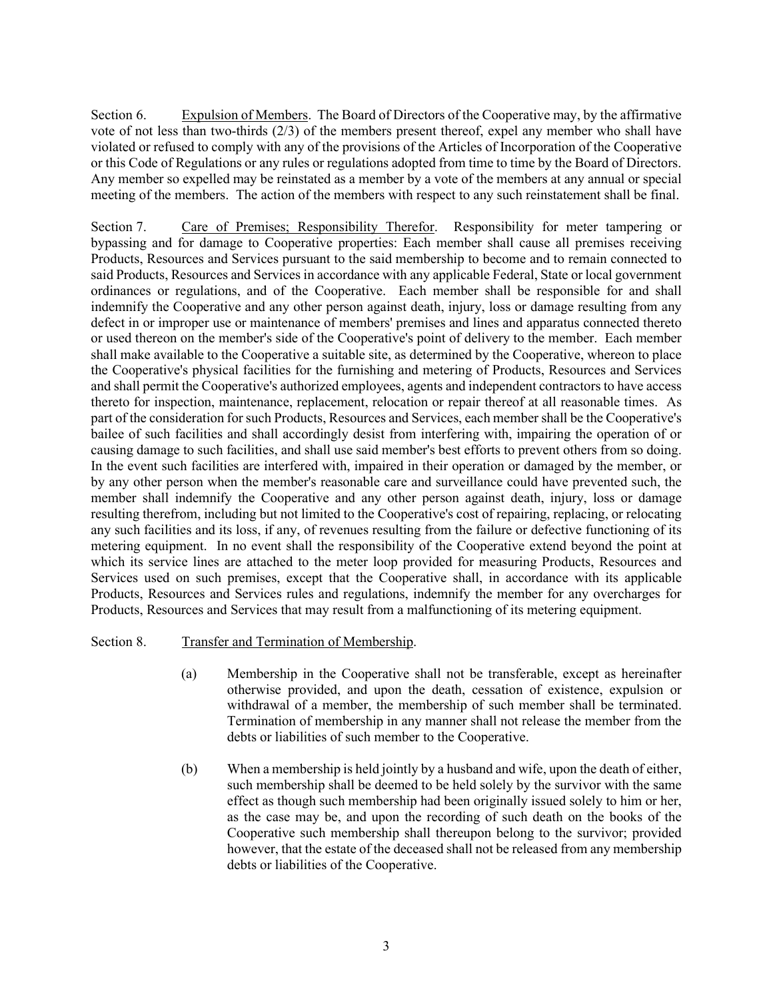Section 6. Expulsion of Members. The Board of Directors of the Cooperative may, by the affirmative vote of not less than two-thirds (2/3) of the members present thereof, expel any member who shall have violated or refused to comply with any of the provisions of the Articles of Incorporation of the Cooperative or this Code of Regulations or any rules or regulations adopted from time to time by the Board of Directors. Any member so expelled may be reinstated as a member by a vote of the members at any annual or special meeting of the members. The action of the members with respect to any such reinstatement shall be final.

Section 7. Care of Premises; Responsibility Therefor. Responsibility for meter tampering or bypassing and for damage to Cooperative properties: Each member shall cause all premises receiving Products, Resources and Services pursuant to the said membership to become and to remain connected to said Products, Resources and Services in accordance with any applicable Federal, State or local government ordinances or regulations, and of the Cooperative. Each member shall be responsible for and shall indemnify the Cooperative and any other person against death, injury, loss or damage resulting from any defect in or improper use or maintenance of members' premises and lines and apparatus connected thereto or used thereon on the member's side of the Cooperative's point of delivery to the member. Each member shall make available to the Cooperative a suitable site, as determined by the Cooperative, whereon to place the Cooperative's physical facilities for the furnishing and metering of Products, Resources and Services and shall permit the Cooperative's authorized employees, agents and independent contractors to have access thereto for inspection, maintenance, replacement, relocation or repair thereof at all reasonable times. As part of the consideration for such Products, Resources and Services, each member shall be the Cooperative's bailee of such facilities and shall accordingly desist from interfering with, impairing the operation of or causing damage to such facilities, and shall use said member's best efforts to prevent others from so doing. In the event such facilities are interfered with, impaired in their operation or damaged by the member, or by any other person when the member's reasonable care and surveillance could have prevented such, the member shall indemnify the Cooperative and any other person against death, injury, loss or damage resulting therefrom, including but not limited to the Cooperative's cost of repairing, replacing, or relocating any such facilities and its loss, if any, of revenues resulting from the failure or defective functioning of its metering equipment. In no event shall the responsibility of the Cooperative extend beyond the point at which its service lines are attached to the meter loop provided for measuring Products, Resources and Services used on such premises, except that the Cooperative shall, in accordance with its applicable Products, Resources and Services rules and regulations, indemnify the member for any overcharges for Products, Resources and Services that may result from a malfunctioning of its metering equipment.

## Section 8. Transfer and Termination of Membership.

- (a) Membership in the Cooperative shall not be transferable, except as hereinafter otherwise provided, and upon the death, cessation of existence, expulsion or withdrawal of a member, the membership of such member shall be terminated. Termination of membership in any manner shall not release the member from the debts or liabilities of such member to the Cooperative.
- (b) When a membership is held jointly by a husband and wife, upon the death of either, such membership shall be deemed to be held solely by the survivor with the same effect as though such membership had been originally issued solely to him or her, as the case may be, and upon the recording of such death on the books of the Cooperative such membership shall thereupon belong to the survivor; provided however, that the estate of the deceased shall not be released from any membership debts or liabilities of the Cooperative.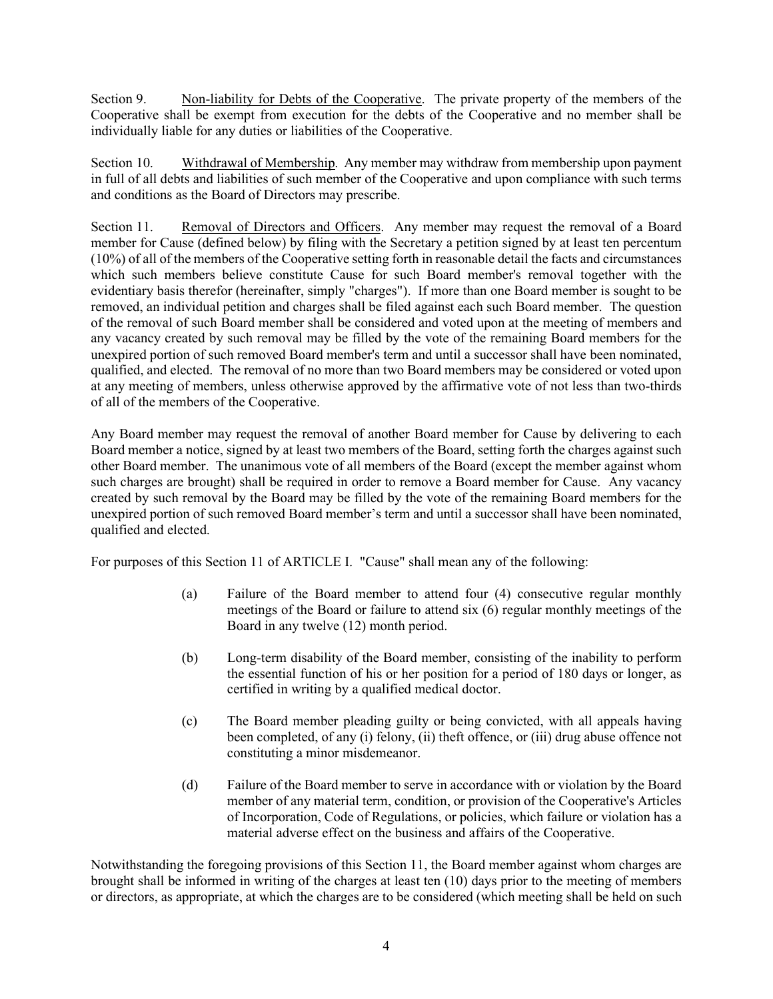Section 9. Non-liability for Debts of the Cooperative. The private property of the members of the Cooperative shall be exempt from execution for the debts of the Cooperative and no member shall be individually liable for any duties or liabilities of the Cooperative.

Section 10. Withdrawal of Membership. Any member may withdraw from membership upon payment in full of all debts and liabilities of such member of the Cooperative and upon compliance with such terms and conditions as the Board of Directors may prescribe.

Section 11. Removal of Directors and Officers. Any member may request the removal of a Board member for Cause (defined below) by filing with the Secretary a petition signed by at least ten percentum (10%) of all of the members of the Cooperative setting forth in reasonable detail the facts and circumstances which such members believe constitute Cause for such Board member's removal together with the evidentiary basis therefor (hereinafter, simply "charges"). If more than one Board member is sought to be removed, an individual petition and charges shall be filed against each such Board member. The question of the removal of such Board member shall be considered and voted upon at the meeting of members and any vacancy created by such removal may be filled by the vote of the remaining Board members for the unexpired portion of such removed Board member's term and until a successor shall have been nominated, qualified, and elected. The removal of no more than two Board members may be considered or voted upon at any meeting of members, unless otherwise approved by the affirmative vote of not less than two-thirds of all of the members of the Cooperative.

Any Board member may request the removal of another Board member for Cause by delivering to each Board member a notice, signed by at least two members of the Board, setting forth the charges against such other Board member. The unanimous vote of all members of the Board (except the member against whom such charges are brought) shall be required in order to remove a Board member for Cause. Any vacancy created by such removal by the Board may be filled by the vote of the remaining Board members for the unexpired portion of such removed Board member's term and until a successor shall have been nominated, qualified and elected.

For purposes of this Section 11 of ARTICLE I. "Cause" shall mean any of the following:

- (a) Failure of the Board member to attend four (4) consecutive regular monthly meetings of the Board or failure to attend six (6) regular monthly meetings of the Board in any twelve (12) month period.
- (b) Long-term disability of the Board member, consisting of the inability to perform the essential function of his or her position for a period of 180 days or longer, as certified in writing by a qualified medical doctor.
- (c) The Board member pleading guilty or being convicted, with all appeals having been completed, of any (i) felony, (ii) theft offence, or (iii) drug abuse offence not constituting a minor misdemeanor.
- (d) Failure of the Board member to serve in accordance with or violation by the Board member of any material term, condition, or provision of the Cooperative's Articles of Incorporation, Code of Regulations, or policies, which failure or violation has a material adverse effect on the business and affairs of the Cooperative.

Notwithstanding the foregoing provisions of this Section 11, the Board member against whom charges are brought shall be informed in writing of the charges at least ten (10) days prior to the meeting of members or directors, as appropriate, at which the charges are to be considered (which meeting shall be held on such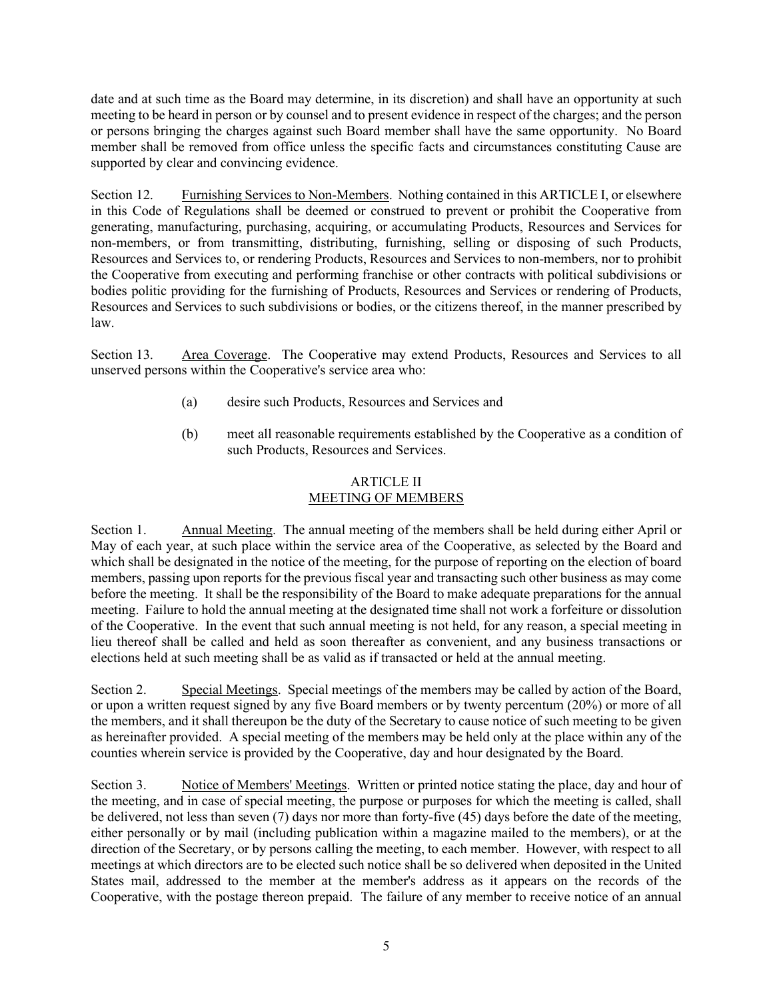date and at such time as the Board may determine, in its discretion) and shall have an opportunity at such meeting to be heard in person or by counsel and to present evidence in respect of the charges; and the person or persons bringing the charges against such Board member shall have the same opportunity. No Board member shall be removed from office unless the specific facts and circumstances constituting Cause are supported by clear and convincing evidence.

Section 12. Furnishing Services to Non-Members. Nothing contained in this ARTICLE I, or elsewhere in this Code of Regulations shall be deemed or construed to prevent or prohibit the Cooperative from generating, manufacturing, purchasing, acquiring, or accumulating Products, Resources and Services for non-members, or from transmitting, distributing, furnishing, selling or disposing of such Products, Resources and Services to, or rendering Products, Resources and Services to non-members, nor to prohibit the Cooperative from executing and performing franchise or other contracts with political subdivisions or bodies politic providing for the furnishing of Products, Resources and Services or rendering of Products, Resources and Services to such subdivisions or bodies, or the citizens thereof, in the manner prescribed by law.

Section 13. Area Coverage. The Cooperative may extend Products, Resources and Services to all unserved persons within the Cooperative's service area who:

- (a) desire such Products, Resources and Services and
- (b) meet all reasonable requirements established by the Cooperative as a condition of such Products, Resources and Services.

## ARTICLE II MEETING OF MEMBERS

Section 1. Annual Meeting. The annual meeting of the members shall be held during either April or May of each year, at such place within the service area of the Cooperative, as selected by the Board and which shall be designated in the notice of the meeting, for the purpose of reporting on the election of board members, passing upon reports for the previous fiscal year and transacting such other business as may come before the meeting. It shall be the responsibility of the Board to make adequate preparations for the annual meeting. Failure to hold the annual meeting at the designated time shall not work a forfeiture or dissolution of the Cooperative. In the event that such annual meeting is not held, for any reason, a special meeting in lieu thereof shall be called and held as soon thereafter as convenient, and any business transactions or elections held at such meeting shall be as valid as if transacted or held at the annual meeting.

Section 2. Special Meetings. Special meetings of the members may be called by action of the Board, or upon a written request signed by any five Board members or by twenty percentum (20%) or more of all the members, and it shall thereupon be the duty of the Secretary to cause notice of such meeting to be given as hereinafter provided. A special meeting of the members may be held only at the place within any of the counties wherein service is provided by the Cooperative, day and hour designated by the Board.

Section 3. Notice of Members' Meetings. Written or printed notice stating the place, day and hour of the meeting, and in case of special meeting, the purpose or purposes for which the meeting is called, shall be delivered, not less than seven (7) days nor more than forty-five (45) days before the date of the meeting, either personally or by mail (including publication within a magazine mailed to the members), or at the direction of the Secretary, or by persons calling the meeting, to each member. However, with respect to all meetings at which directors are to be elected such notice shall be so delivered when deposited in the United States mail, addressed to the member at the member's address as it appears on the records of the Cooperative, with the postage thereon prepaid. The failure of any member to receive notice of an annual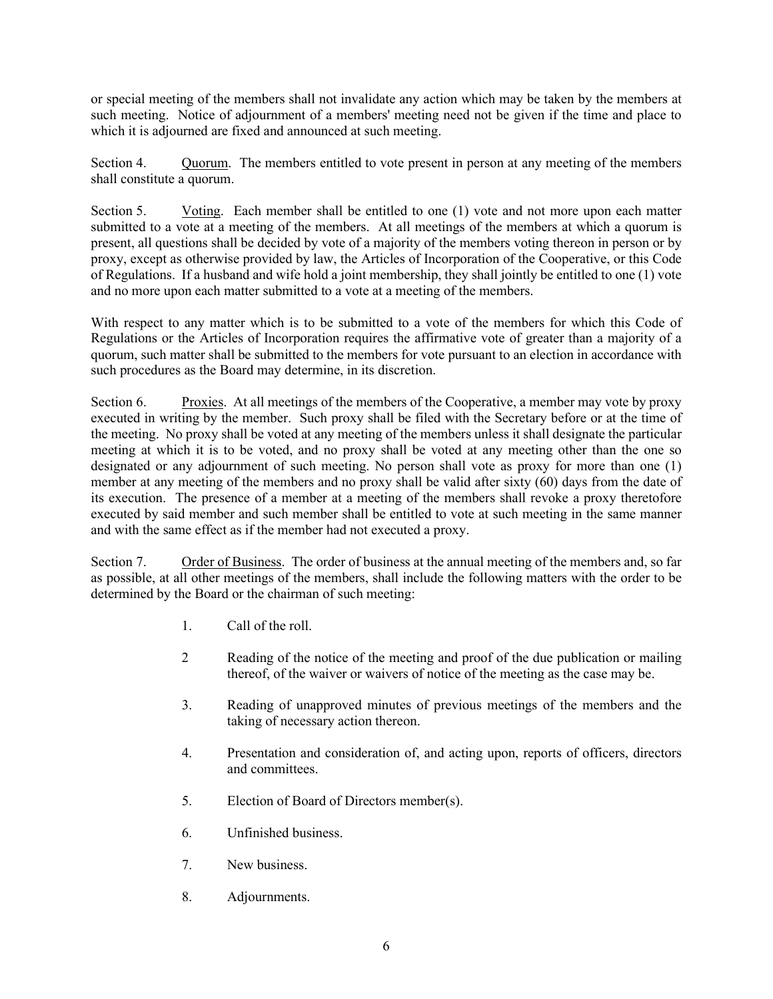or special meeting of the members shall not invalidate any action which may be taken by the members at such meeting. Notice of adjournment of a members' meeting need not be given if the time and place to which it is adjourned are fixed and announced at such meeting.

Section 4. Quorum. The members entitled to vote present in person at any meeting of the members shall constitute a quorum.

Section 5. Voting. Each member shall be entitled to one (1) vote and not more upon each matter submitted to a vote at a meeting of the members. At all meetings of the members at which a quorum is present, all questions shall be decided by vote of a majority of the members voting thereon in person or by proxy, except as otherwise provided by law, the Articles of Incorporation of the Cooperative, or this Code of Regulations. If a husband and wife hold a joint membership, they shall jointly be entitled to one (1) vote and no more upon each matter submitted to a vote at a meeting of the members.

With respect to any matter which is to be submitted to a vote of the members for which this Code of Regulations or the Articles of Incorporation requires the affirmative vote of greater than a majority of a quorum, such matter shall be submitted to the members for vote pursuant to an election in accordance with such procedures as the Board may determine, in its discretion.

Section 6. Proxies. At all meetings of the members of the Cooperative, a member may vote by proxy executed in writing by the member. Such proxy shall be filed with the Secretary before or at the time of the meeting. No proxy shall be voted at any meeting of the members unless it shall designate the particular meeting at which it is to be voted, and no proxy shall be voted at any meeting other than the one so designated or any adjournment of such meeting. No person shall vote as proxy for more than one (1) member at any meeting of the members and no proxy shall be valid after sixty (60) days from the date of its execution. The presence of a member at a meeting of the members shall revoke a proxy theretofore executed by said member and such member shall be entitled to vote at such meeting in the same manner and with the same effect as if the member had not executed a proxy.

Section 7. Order of Business. The order of business at the annual meeting of the members and, so far as possible, at all other meetings of the members, shall include the following matters with the order to be determined by the Board or the chairman of such meeting:

- 1. Call of the roll.
- 2 Reading of the notice of the meeting and proof of the due publication or mailing thereof, of the waiver or waivers of notice of the meeting as the case may be.
- 3. Reading of unapproved minutes of previous meetings of the members and the taking of necessary action thereon.
- 4. Presentation and consideration of, and acting upon, reports of officers, directors and committees.
- 5. Election of Board of Directors member(s).
- 6. Unfinished business.
- 7. New business.
- 8. Adjournments.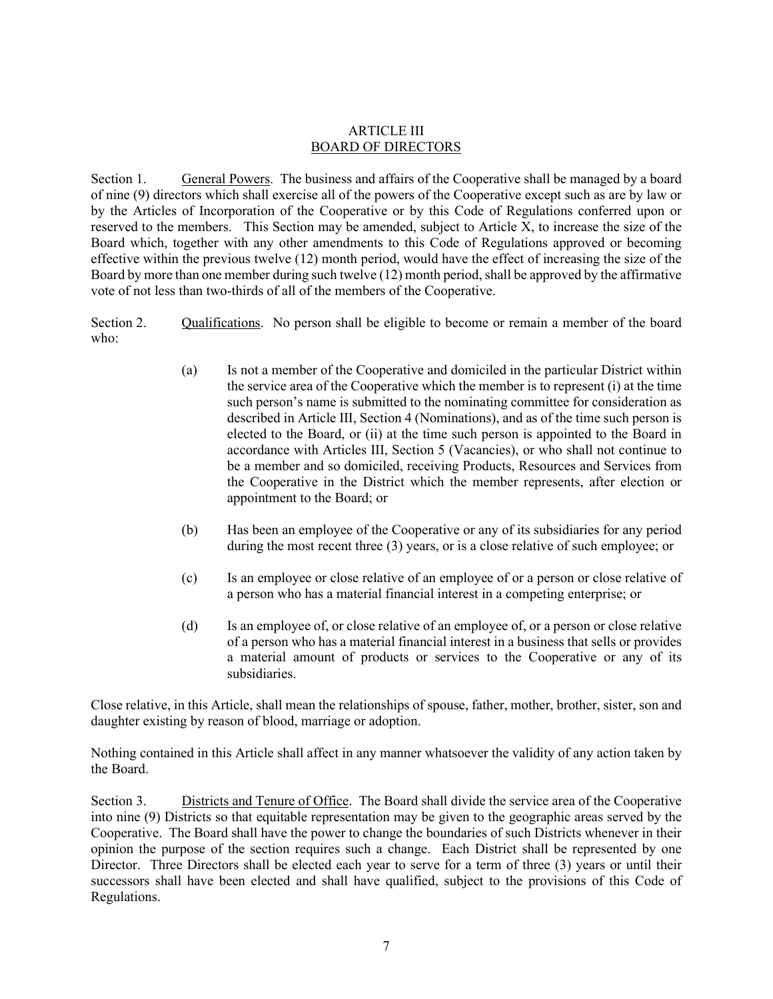## ARTICLE III BOARD OF DIRECTORS

Section 1. General Powers. The business and affairs of the Cooperative shall be managed by a board of nine (9) directors which shall exercise all of the powers of the Cooperative except such as are by law or by the Articles of Incorporation of the Cooperative or by this Code of Regulations conferred upon or reserved to the members. This Section may be amended, subject to Article X, to increase the size of the Board which, together with any other amendments to this Code of Regulations approved or becoming effective within the previous twelve (12) month period, would have the effect of increasing the size of the Board by more than one member during such twelve (12) month period, shall be approved by the affirmative vote of not less than two-thirds of all of the members of the Cooperative.

Section 2. Qualifications. No person shall be eligible to become or remain a member of the board who:

- (a) Is not a member of the Cooperative and domiciled in the particular District within the service area of the Cooperative which the member is to represent (i) at the time such person's name is submitted to the nominating committee for consideration as described in Article III, Section 4 (Nominations), and as of the time such person is elected to the Board, or (ii) at the time such person is appointed to the Board in accordance with Articles III, Section 5 (Vacancies), or who shall not continue to be a member and so domiciled, receiving Products, Resources and Services from the Cooperative in the District which the member represents, after election or appointment to the Board; or
- (b) Has been an employee of the Cooperative or any of its subsidiaries for any period during the most recent three (3) years, or is a close relative of such employee; or
- (c) Is an employee or close relative of an employee of or a person or close relative of a person who has a material financial interest in a competing enterprise; or
- (d) Is an employee of, or close relative of an employee of, or a person or close relative of a person who has a material financial interest in a business that sells or provides a material amount of products or services to the Cooperative or any of its subsidiaries.

Close relative, in this Article, shall mean the relationships of spouse, father, mother, brother, sister, son and daughter existing by reason of blood, marriage or adoption.

Nothing contained in this Article shall affect in any manner whatsoever the validity of any action taken by the Board.

Section 3. Districts and Tenure of Office. The Board shall divide the service area of the Cooperative into nine (9) Districts so that equitable representation may be given to the geographic areas served by the Cooperative. The Board shall have the power to change the boundaries of such Districts whenever in their opinion the purpose of the section requires such a change. Each District shall be represented by one Director. Three Directors shall be elected each year to serve for a term of three (3) years or until their successors shall have been elected and shall have qualified, subject to the provisions of this Code of Regulations.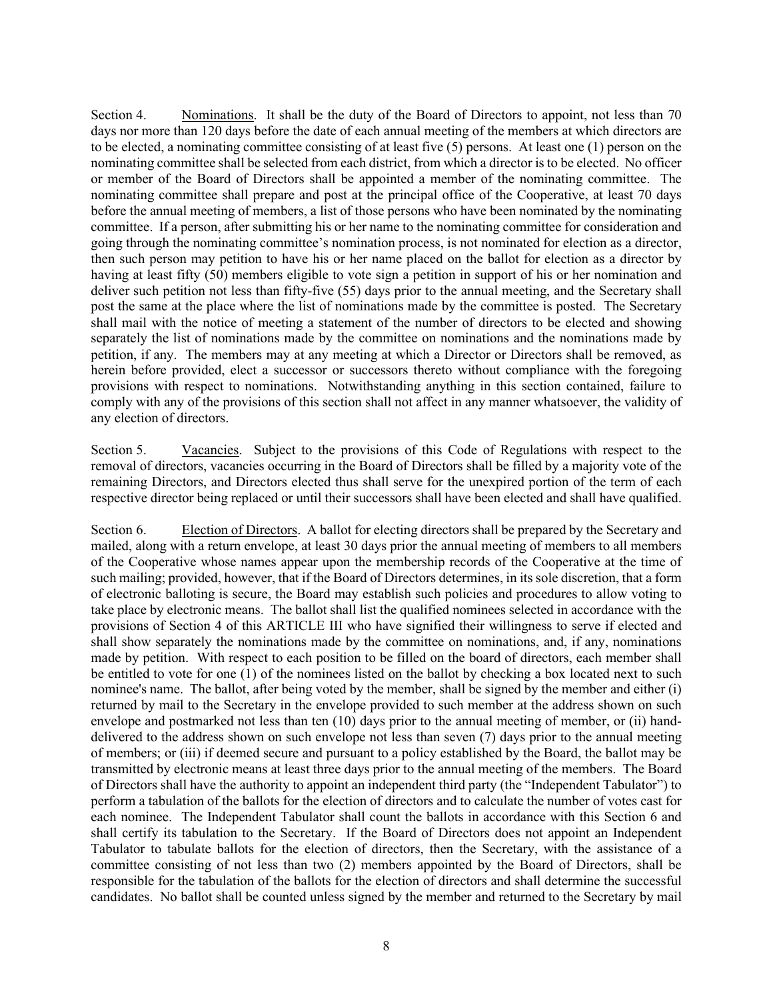Section 4. Nominations. It shall be the duty of the Board of Directors to appoint, not less than 70 days nor more than 120 days before the date of each annual meeting of the members at which directors are to be elected, a nominating committee consisting of at least five (5) persons. At least one (1) person on the nominating committee shall be selected from each district, from which a director is to be elected. No officer or member of the Board of Directors shall be appointed a member of the nominating committee. The nominating committee shall prepare and post at the principal office of the Cooperative, at least 70 days before the annual meeting of members, a list of those persons who have been nominated by the nominating committee. If a person, after submitting his or her name to the nominating committee for consideration and going through the nominating committee's nomination process, is not nominated for election as a director, then such person may petition to have his or her name placed on the ballot for election as a director by having at least fifty (50) members eligible to vote sign a petition in support of his or her nomination and deliver such petition not less than fifty-five (55) days prior to the annual meeting, and the Secretary shall post the same at the place where the list of nominations made by the committee is posted. The Secretary shall mail with the notice of meeting a statement of the number of directors to be elected and showing separately the list of nominations made by the committee on nominations and the nominations made by petition, if any. The members may at any meeting at which a Director or Directors shall be removed, as herein before provided, elect a successor or successors thereto without compliance with the foregoing provisions with respect to nominations. Notwithstanding anything in this section contained, failure to comply with any of the provisions of this section shall not affect in any manner whatsoever, the validity of any election of directors.

Section 5. Vacancies. Subject to the provisions of this Code of Regulations with respect to the removal of directors, vacancies occurring in the Board of Directors shall be filled by a majority vote of the remaining Directors, and Directors elected thus shall serve for the unexpired portion of the term of each respective director being replaced or until their successors shall have been elected and shall have qualified.

Section 6. Election of Directors. A ballot for electing directors shall be prepared by the Secretary and mailed, along with a return envelope, at least 30 days prior the annual meeting of members to all members of the Cooperative whose names appear upon the membership records of the Cooperative at the time of such mailing; provided, however, that if the Board of Directors determines, in its sole discretion, that a form of electronic balloting is secure, the Board may establish such policies and procedures to allow voting to take place by electronic means. The ballot shall list the qualified nominees selected in accordance with the provisions of Section 4 of this ARTICLE III who have signified their willingness to serve if elected and shall show separately the nominations made by the committee on nominations, and, if any, nominations made by petition. With respect to each position to be filled on the board of directors, each member shall be entitled to vote for one (1) of the nominees listed on the ballot by checking a box located next to such nominee's name. The ballot, after being voted by the member, shall be signed by the member and either (i) returned by mail to the Secretary in the envelope provided to such member at the address shown on such envelope and postmarked not less than ten (10) days prior to the annual meeting of member, or (ii) handdelivered to the address shown on such envelope not less than seven (7) days prior to the annual meeting of members; or (iii) if deemed secure and pursuant to a policy established by the Board, the ballot may be transmitted by electronic means at least three days prior to the annual meeting of the members. The Board of Directors shall have the authority to appoint an independent third party (the "Independent Tabulator") to perform a tabulation of the ballots for the election of directors and to calculate the number of votes cast for each nominee. The Independent Tabulator shall count the ballots in accordance with this Section 6 and shall certify its tabulation to the Secretary. If the Board of Directors does not appoint an Independent Tabulator to tabulate ballots for the election of directors, then the Secretary, with the assistance of a committee consisting of not less than two (2) members appointed by the Board of Directors, shall be responsible for the tabulation of the ballots for the election of directors and shall determine the successful candidates. No ballot shall be counted unless signed by the member and returned to the Secretary by mail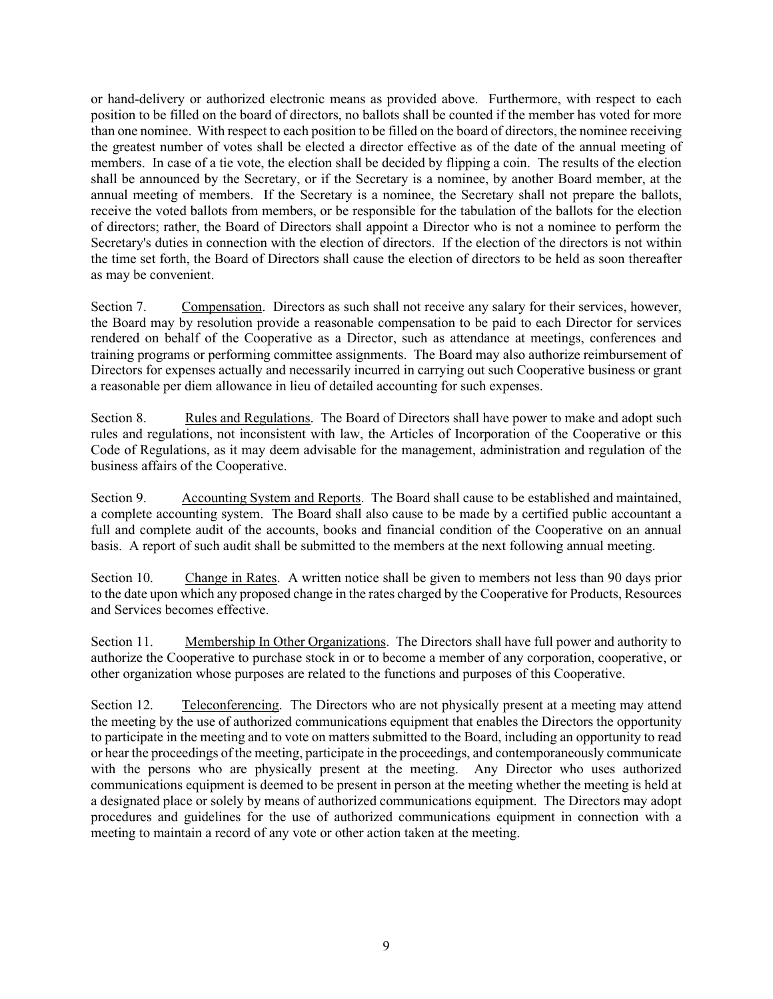or hand-delivery or authorized electronic means as provided above. Furthermore, with respect to each position to be filled on the board of directors, no ballots shall be counted if the member has voted for more than one nominee. With respect to each position to be filled on the board of directors, the nominee receiving the greatest number of votes shall be elected a director effective as of the date of the annual meeting of members. In case of a tie vote, the election shall be decided by flipping a coin. The results of the election shall be announced by the Secretary, or if the Secretary is a nominee, by another Board member, at the annual meeting of members. If the Secretary is a nominee, the Secretary shall not prepare the ballots, receive the voted ballots from members, or be responsible for the tabulation of the ballots for the election of directors; rather, the Board of Directors shall appoint a Director who is not a nominee to perform the Secretary's duties in connection with the election of directors. If the election of the directors is not within the time set forth, the Board of Directors shall cause the election of directors to be held as soon thereafter as may be convenient.

Section 7. Compensation. Directors as such shall not receive any salary for their services, however, the Board may by resolution provide a reasonable compensation to be paid to each Director for services rendered on behalf of the Cooperative as a Director, such as attendance at meetings, conferences and training programs or performing committee assignments. The Board may also authorize reimbursement of Directors for expenses actually and necessarily incurred in carrying out such Cooperative business or grant a reasonable per diem allowance in lieu of detailed accounting for such expenses.

Section 8. Rules and Regulations. The Board of Directors shall have power to make and adopt such rules and regulations, not inconsistent with law, the Articles of Incorporation of the Cooperative or this Code of Regulations, as it may deem advisable for the management, administration and regulation of the business affairs of the Cooperative.

Section 9. Accounting System and Reports. The Board shall cause to be established and maintained, a complete accounting system. The Board shall also cause to be made by a certified public accountant a full and complete audit of the accounts, books and financial condition of the Cooperative on an annual basis. A report of such audit shall be submitted to the members at the next following annual meeting.

Section 10. Change in Rates. A written notice shall be given to members not less than 90 days prior to the date upon which any proposed change in the rates charged by the Cooperative for Products, Resources and Services becomes effective.

Section 11. Membership In Other Organizations. The Directors shall have full power and authority to authorize the Cooperative to purchase stock in or to become a member of any corporation, cooperative, or other organization whose purposes are related to the functions and purposes of this Cooperative.

Section 12. Teleconferencing. The Directors who are not physically present at a meeting may attend the meeting by the use of authorized communications equipment that enables the Directors the opportunity to participate in the meeting and to vote on matters submitted to the Board, including an opportunity to read or hear the proceedings of the meeting, participate in the proceedings, and contemporaneously communicate with the persons who are physically present at the meeting. Any Director who uses authorized communications equipment is deemed to be present in person at the meeting whether the meeting is held at a designated place or solely by means of authorized communications equipment. The Directors may adopt procedures and guidelines for the use of authorized communications equipment in connection with a meeting to maintain a record of any vote or other action taken at the meeting.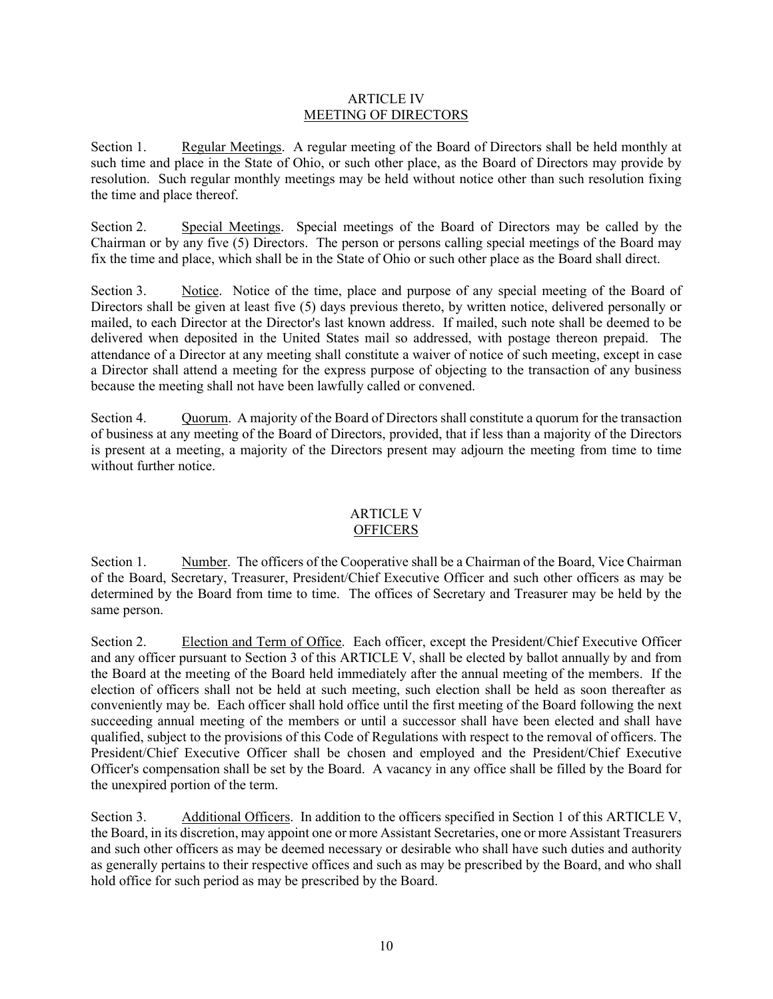## ARTICLE IV MEETING OF DIRECTORS

Section 1. Regular Meetings. A regular meeting of the Board of Directors shall be held monthly at such time and place in the State of Ohio, or such other place, as the Board of Directors may provide by resolution. Such regular monthly meetings may be held without notice other than such resolution fixing the time and place thereof.

Section 2. Special Meetings. Special meetings of the Board of Directors may be called by the Chairman or by any five (5) Directors. The person or persons calling special meetings of the Board may fix the time and place, which shall be in the State of Ohio or such other place as the Board shall direct.

Section 3. Notice. Notice of the time, place and purpose of any special meeting of the Board of Directors shall be given at least five (5) days previous thereto, by written notice, delivered personally or mailed, to each Director at the Director's last known address. If mailed, such note shall be deemed to be delivered when deposited in the United States mail so addressed, with postage thereon prepaid. The attendance of a Director at any meeting shall constitute a waiver of notice of such meeting, except in case a Director shall attend a meeting for the express purpose of objecting to the transaction of any business because the meeting shall not have been lawfully called or convened.

Section 4. Quorum. A majority of the Board of Directors shall constitute a quorum for the transaction of business at any meeting of the Board of Directors, provided, that if less than a majority of the Directors is present at a meeting, a majority of the Directors present may adjourn the meeting from time to time without further notice.

#### ARTICLE V **OFFICERS**

Section 1. Number. The officers of the Cooperative shall be a Chairman of the Board, Vice Chairman of the Board, Secretary, Treasurer, President/Chief Executive Officer and such other officers as may be determined by the Board from time to time. The offices of Secretary and Treasurer may be held by the same person.

Section 2. Election and Term of Office. Each officer, except the President/Chief Executive Officer and any officer pursuant to Section 3 of this ARTICLE V, shall be elected by ballot annually by and from the Board at the meeting of the Board held immediately after the annual meeting of the members. If the election of officers shall not be held at such meeting, such election shall be held as soon thereafter as conveniently may be. Each officer shall hold office until the first meeting of the Board following the next succeeding annual meeting of the members or until a successor shall have been elected and shall have qualified, subject to the provisions of this Code of Regulations with respect to the removal of officers. The President/Chief Executive Officer shall be chosen and employed and the President/Chief Executive Officer's compensation shall be set by the Board. A vacancy in any office shall be filled by the Board for the unexpired portion of the term.

Section 3. Additional Officers. In addition to the officers specified in Section 1 of this ARTICLE V, the Board, in its discretion, may appoint one or more Assistant Secretaries, one or more Assistant Treasurers and such other officers as may be deemed necessary or desirable who shall have such duties and authority as generally pertains to their respective offices and such as may be prescribed by the Board, and who shall hold office for such period as may be prescribed by the Board.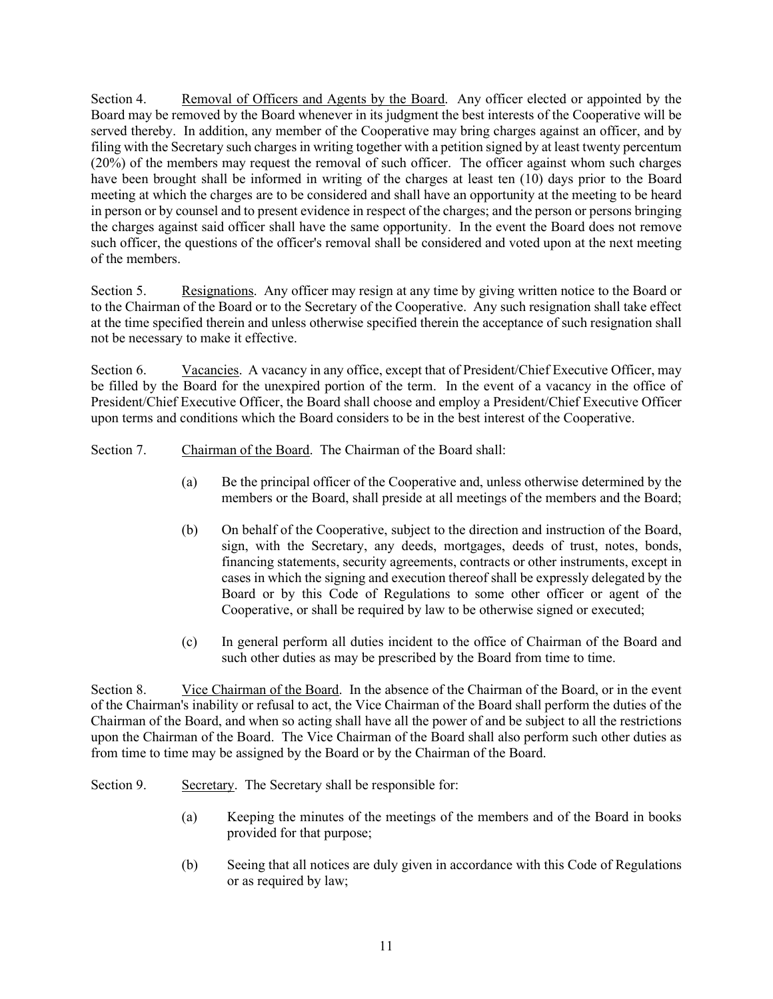Section 4. Removal of Officers and Agents by the Board. Any officer elected or appointed by the Board may be removed by the Board whenever in its judgment the best interests of the Cooperative will be served thereby. In addition, any member of the Cooperative may bring charges against an officer, and by filing with the Secretary such charges in writing together with a petition signed by at least twenty percentum (20%) of the members may request the removal of such officer. The officer against whom such charges have been brought shall be informed in writing of the charges at least ten (10) days prior to the Board meeting at which the charges are to be considered and shall have an opportunity at the meeting to be heard in person or by counsel and to present evidence in respect of the charges; and the person or persons bringing the charges against said officer shall have the same opportunity. In the event the Board does not remove such officer, the questions of the officer's removal shall be considered and voted upon at the next meeting of the members.

Section 5. Resignations. Any officer may resign at any time by giving written notice to the Board or to the Chairman of the Board or to the Secretary of the Cooperative. Any such resignation shall take effect at the time specified therein and unless otherwise specified therein the acceptance of such resignation shall not be necessary to make it effective.

Section 6. Vacancies. A vacancy in any office, except that of President/Chief Executive Officer, may be filled by the Board for the unexpired portion of the term. In the event of a vacancy in the office of President/Chief Executive Officer, the Board shall choose and employ a President/Chief Executive Officer upon terms and conditions which the Board considers to be in the best interest of the Cooperative.

Section 7. Chairman of the Board.The Chairman of the Board shall:

- (a) Be the principal officer of the Cooperative and, unless otherwise determined by the members or the Board, shall preside at all meetings of the members and the Board;
- (b) On behalf of the Cooperative, subject to the direction and instruction of the Board, sign, with the Secretary, any deeds, mortgages, deeds of trust, notes, bonds, financing statements, security agreements, contracts or other instruments, except in cases in which the signing and execution thereof shall be expressly delegated by the Board or by this Code of Regulations to some other officer or agent of the Cooperative, or shall be required by law to be otherwise signed or executed;
- (c) In general perform all duties incident to the office of Chairman of the Board and such other duties as may be prescribed by the Board from time to time.

Section 8. Vice Chairman of the Board. In the absence of the Chairman of the Board, or in the event of the Chairman's inability or refusal to act, the Vice Chairman of the Board shall perform the duties of the Chairman of the Board, and when so acting shall have all the power of and be subject to all the restrictions upon the Chairman of the Board. The Vice Chairman of the Board shall also perform such other duties as from time to time may be assigned by the Board or by the Chairman of the Board.

Section 9. Secretary. The Secretary shall be responsible for:

- (a) Keeping the minutes of the meetings of the members and of the Board in books provided for that purpose;
- (b) Seeing that all notices are duly given in accordance with this Code of Regulations or as required by law;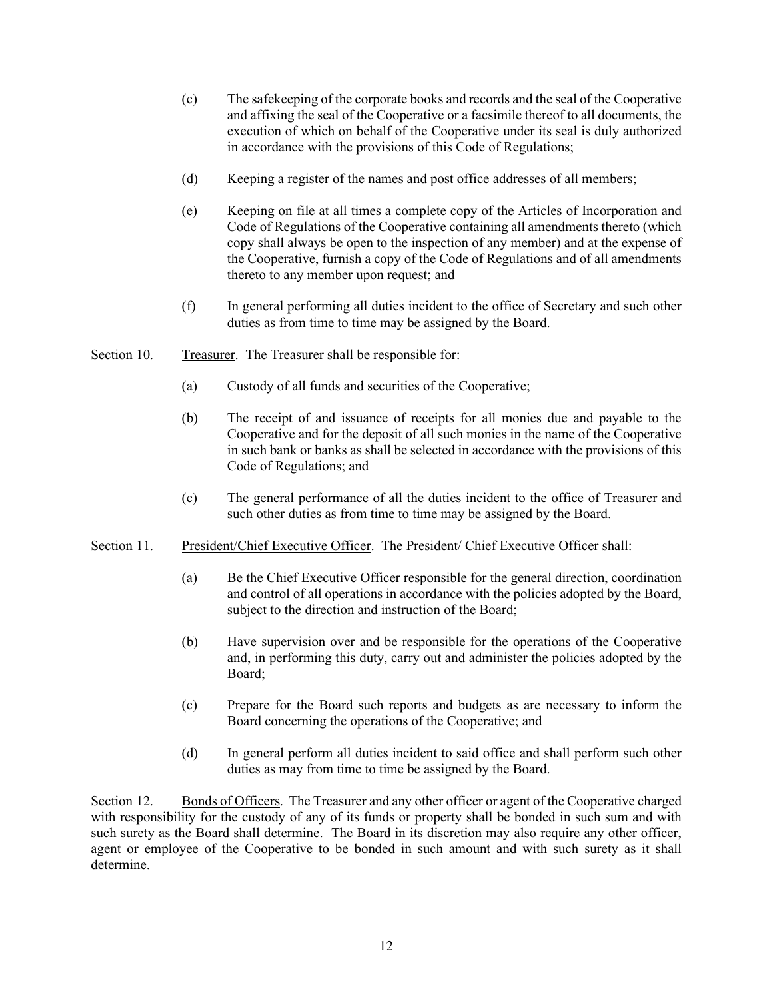- (c) The safekeeping of the corporate books and records and the seal of the Cooperative and affixing the seal of the Cooperative or a facsimile thereof to all documents, the execution of which on behalf of the Cooperative under its seal is duly authorized in accordance with the provisions of this Code of Regulations;
- (d) Keeping a register of the names and post office addresses of all members;
- (e) Keeping on file at all times a complete copy of the Articles of Incorporation and Code of Regulations of the Cooperative containing all amendments thereto (which copy shall always be open to the inspection of any member) and at the expense of the Cooperative, furnish a copy of the Code of Regulations and of all amendments thereto to any member upon request; and
- (f) In general performing all duties incident to the office of Secretary and such other duties as from time to time may be assigned by the Board.
- Section 10. Treasurer. The Treasurer shall be responsible for:
	- (a) Custody of all funds and securities of the Cooperative;
	- (b) The receipt of and issuance of receipts for all monies due and payable to the Cooperative and for the deposit of all such monies in the name of the Cooperative in such bank or banks as shall be selected in accordance with the provisions of this Code of Regulations; and
	- (c) The general performance of all the duties incident to the office of Treasurer and such other duties as from time to time may be assigned by the Board.
- Section 11. President/Chief Executive Officer. The President/ Chief Executive Officer shall:
	- (a) Be the Chief Executive Officer responsible for the general direction, coordination and control of all operations in accordance with the policies adopted by the Board, subject to the direction and instruction of the Board;
	- (b) Have supervision over and be responsible for the operations of the Cooperative and, in performing this duty, carry out and administer the policies adopted by the Board;
	- (c) Prepare for the Board such reports and budgets as are necessary to inform the Board concerning the operations of the Cooperative; and
	- (d) In general perform all duties incident to said office and shall perform such other duties as may from time to time be assigned by the Board.

Section 12. Bonds of Officers. The Treasurer and any other officer or agent of the Cooperative charged with responsibility for the custody of any of its funds or property shall be bonded in such sum and with such surety as the Board shall determine. The Board in its discretion may also require any other officer, agent or employee of the Cooperative to be bonded in such amount and with such surety as it shall determine.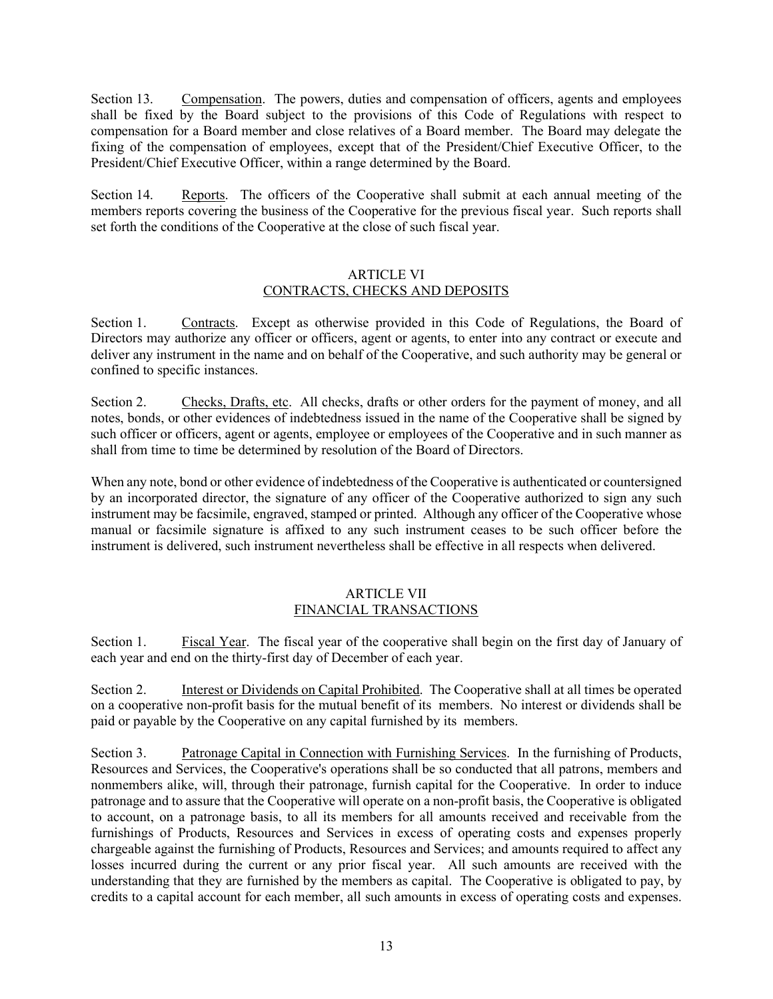Section 13. Compensation. The powers, duties and compensation of officers, agents and employees shall be fixed by the Board subject to the provisions of this Code of Regulations with respect to compensation for a Board member and close relatives of a Board member. The Board may delegate the fixing of the compensation of employees, except that of the President/Chief Executive Officer, to the President/Chief Executive Officer, within a range determined by the Board.

Section 14. Reports. The officers of the Cooperative shall submit at each annual meeting of the members reports covering the business of the Cooperative for the previous fiscal year. Such reports shall set forth the conditions of the Cooperative at the close of such fiscal year.

## ARTICLE VI CONTRACTS, CHECKS AND DEPOSITS

Section 1. Contracts. Except as otherwise provided in this Code of Regulations, the Board of Directors may authorize any officer or officers, agent or agents, to enter into any contract or execute and deliver any instrument in the name and on behalf of the Cooperative, and such authority may be general or confined to specific instances.

Section 2. Checks, Drafts, etc. All checks, drafts or other orders for the payment of money, and all notes, bonds, or other evidences of indebtedness issued in the name of the Cooperative shall be signed by such officer or officers, agent or agents, employee or employees of the Cooperative and in such manner as shall from time to time be determined by resolution of the Board of Directors.

When any note, bond or other evidence of indebtedness of the Cooperative is authenticated or countersigned by an incorporated director, the signature of any officer of the Cooperative authorized to sign any such instrument may be facsimile, engraved, stamped or printed. Although any officer of the Cooperative whose manual or facsimile signature is affixed to any such instrument ceases to be such officer before the instrument is delivered, such instrument nevertheless shall be effective in all respects when delivered.

## ARTICLE VII FINANCIAL TRANSACTIONS

Section 1. Fiscal Year. The fiscal year of the cooperative shall begin on the first day of January of each year and end on the thirty-first day of December of each year.

Section 2. Interest or Dividends on Capital Prohibited. The Cooperative shall at all times be operated on a cooperative non-profit basis for the mutual benefit of its members. No interest or dividends shall be paid or payable by the Cooperative on any capital furnished by its members.

Section 3. Patronage Capital in Connection with Furnishing Services. In the furnishing of Products, Resources and Services, the Cooperative's operations shall be so conducted that all patrons, members and nonmembers alike, will, through their patronage, furnish capital for the Cooperative. In order to induce patronage and to assure that the Cooperative will operate on a non-profit basis, the Cooperative is obligated to account, on a patronage basis, to all its members for all amounts received and receivable from the furnishings of Products, Resources and Services in excess of operating costs and expenses properly chargeable against the furnishing of Products, Resources and Services; and amounts required to affect any losses incurred during the current or any prior fiscal year. All such amounts are received with the understanding that they are furnished by the members as capital. The Cooperative is obligated to pay, by credits to a capital account for each member, all such amounts in excess of operating costs and expenses.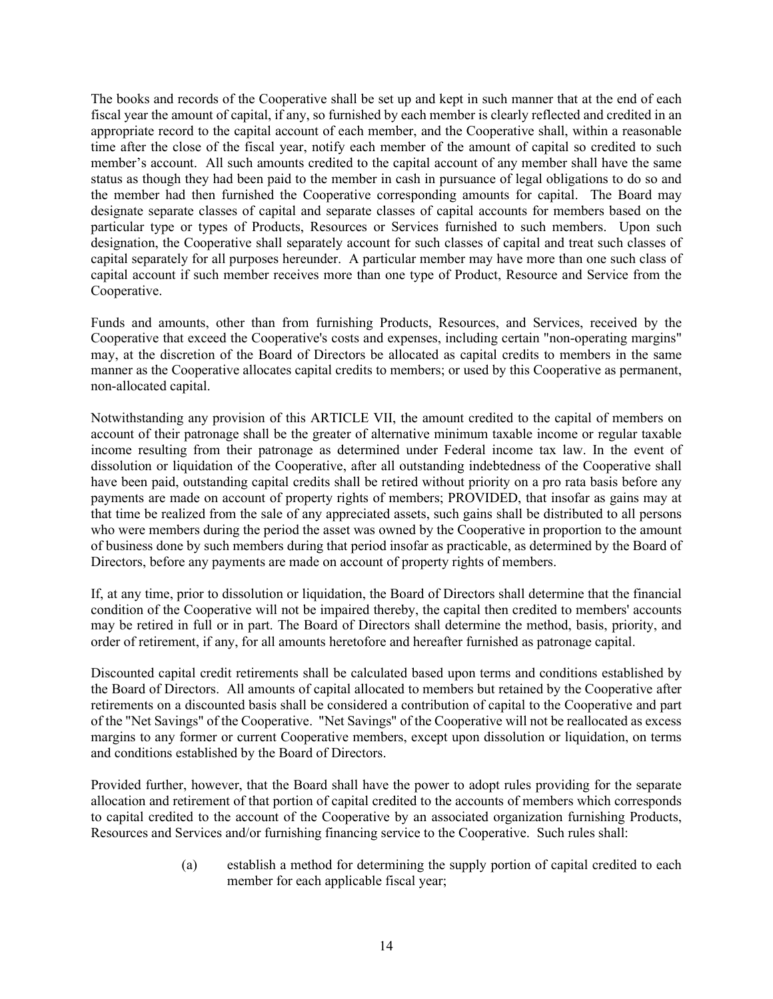The books and records of the Cooperative shall be set up and kept in such manner that at the end of each fiscal year the amount of capital, if any, so furnished by each member is clearly reflected and credited in an appropriate record to the capital account of each member, and the Cooperative shall, within a reasonable time after the close of the fiscal year, notify each member of the amount of capital so credited to such member's account. All such amounts credited to the capital account of any member shall have the same status as though they had been paid to the member in cash in pursuance of legal obligations to do so and the member had then furnished the Cooperative corresponding amounts for capital. The Board may designate separate classes of capital and separate classes of capital accounts for members based on the particular type or types of Products, Resources or Services furnished to such members. Upon such designation, the Cooperative shall separately account for such classes of capital and treat such classes of capital separately for all purposes hereunder. A particular member may have more than one such class of capital account if such member receives more than one type of Product, Resource and Service from the Cooperative.

Funds and amounts, other than from furnishing Products, Resources, and Services, received by the Cooperative that exceed the Cooperative's costs and expenses, including certain "non-operating margins" may, at the discretion of the Board of Directors be allocated as capital credits to members in the same manner as the Cooperative allocates capital credits to members; or used by this Cooperative as permanent, non-allocated capital.

Notwithstanding any provision of this ARTICLE VII, the amount credited to the capital of members on account of their patronage shall be the greater of alternative minimum taxable income or regular taxable income resulting from their patronage as determined under Federal income tax law. In the event of dissolution or liquidation of the Cooperative, after all outstanding indebtedness of the Cooperative shall have been paid, outstanding capital credits shall be retired without priority on a pro rata basis before any payments are made on account of property rights of members; PROVIDED, that insofar as gains may at that time be realized from the sale of any appreciated assets, such gains shall be distributed to all persons who were members during the period the asset was owned by the Cooperative in proportion to the amount of business done by such members during that period insofar as practicable, as determined by the Board of Directors, before any payments are made on account of property rights of members.

If, at any time, prior to dissolution or liquidation, the Board of Directors shall determine that the financial condition of the Cooperative will not be impaired thereby, the capital then credited to members' accounts may be retired in full or in part. The Board of Directors shall determine the method, basis, priority, and order of retirement, if any, for all amounts heretofore and hereafter furnished as patronage capital.

Discounted capital credit retirements shall be calculated based upon terms and conditions established by the Board of Directors. All amounts of capital allocated to members but retained by the Cooperative after retirements on a discounted basis shall be considered a contribution of capital to the Cooperative and part of the "Net Savings" of the Cooperative. "Net Savings" of the Cooperative will not be reallocated as excess margins to any former or current Cooperative members, except upon dissolution or liquidation, on terms and conditions established by the Board of Directors.

Provided further, however, that the Board shall have the power to adopt rules providing for the separate allocation and retirement of that portion of capital credited to the accounts of members which corresponds to capital credited to the account of the Cooperative by an associated organization furnishing Products, Resources and Services and/or furnishing financing service to the Cooperative. Such rules shall:

> (a) establish a method for determining the supply portion of capital credited to each member for each applicable fiscal year;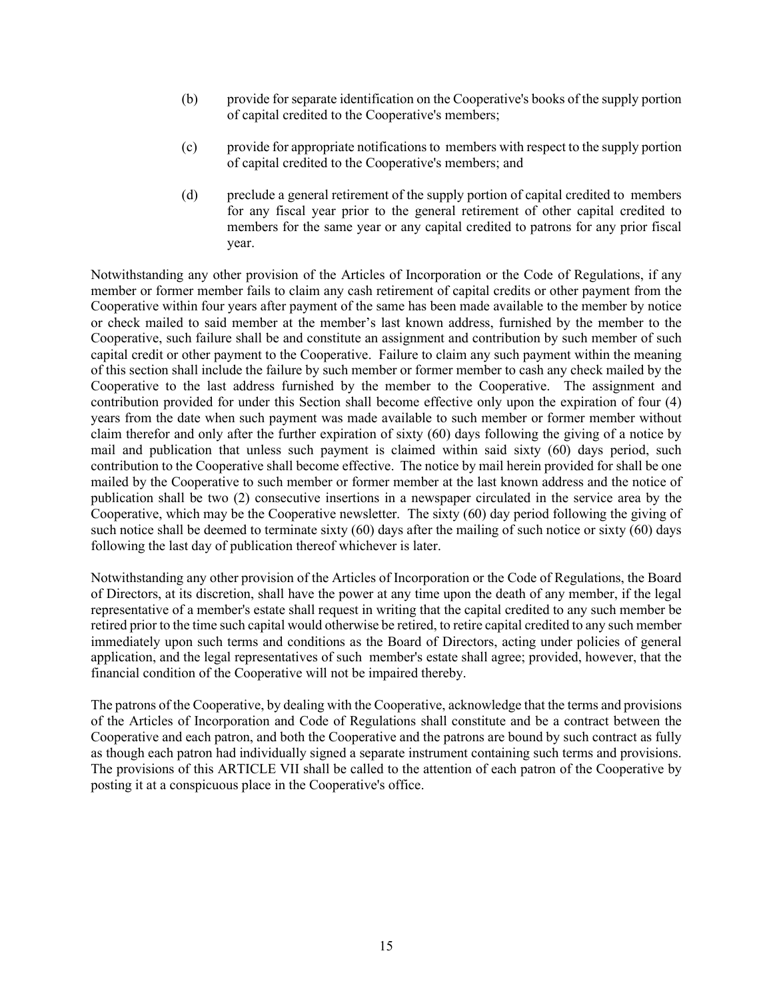- (b) provide for separate identification on the Cooperative's books of the supply portion of capital credited to the Cooperative's members;
- (c) provide for appropriate notifications to members with respect to the supply portion of capital credited to the Cooperative's members; and
- (d) preclude a general retirement of the supply portion of capital credited to members for any fiscal year prior to the general retirement of other capital credited to members for the same year or any capital credited to patrons for any prior fiscal year.

Notwithstanding any other provision of the Articles of Incorporation or the Code of Regulations, if any member or former member fails to claim any cash retirement of capital credits or other payment from the Cooperative within four years after payment of the same has been made available to the member by notice or check mailed to said member at the member's last known address, furnished by the member to the Cooperative, such failure shall be and constitute an assignment and contribution by such member of such capital credit or other payment to the Cooperative. Failure to claim any such payment within the meaning of this section shall include the failure by such member or former member to cash any check mailed by the Cooperative to the last address furnished by the member to the Cooperative. The assignment and contribution provided for under this Section shall become effective only upon the expiration of four (4) years from the date when such payment was made available to such member or former member without claim therefor and only after the further expiration of sixty (60) days following the giving of a notice by mail and publication that unless such payment is claimed within said sixty (60) days period, such contribution to the Cooperative shall become effective. The notice by mail herein provided for shall be one mailed by the Cooperative to such member or former member at the last known address and the notice of publication shall be two (2) consecutive insertions in a newspaper circulated in the service area by the Cooperative, which may be the Cooperative newsletter. The sixty (60) day period following the giving of such notice shall be deemed to terminate sixty (60) days after the mailing of such notice or sixty (60) days following the last day of publication thereof whichever is later.

Notwithstanding any other provision of the Articles of Incorporation or the Code of Regulations, the Board of Directors, at its discretion, shall have the power at any time upon the death of any member, if the legal representative of a member's estate shall request in writing that the capital credited to any such member be retired prior to the time such capital would otherwise be retired, to retire capital credited to any such member immediately upon such terms and conditions as the Board of Directors, acting under policies of general application, and the legal representatives of such member's estate shall agree; provided, however, that the financial condition of the Cooperative will not be impaired thereby.

The patrons of the Cooperative, by dealing with the Cooperative, acknowledge that the terms and provisions of the Articles of Incorporation and Code of Regulations shall constitute and be a contract between the Cooperative and each patron, and both the Cooperative and the patrons are bound by such contract as fully as though each patron had individually signed a separate instrument containing such terms and provisions. The provisions of this ARTICLE VII shall be called to the attention of each patron of the Cooperative by posting it at a conspicuous place in the Cooperative's office.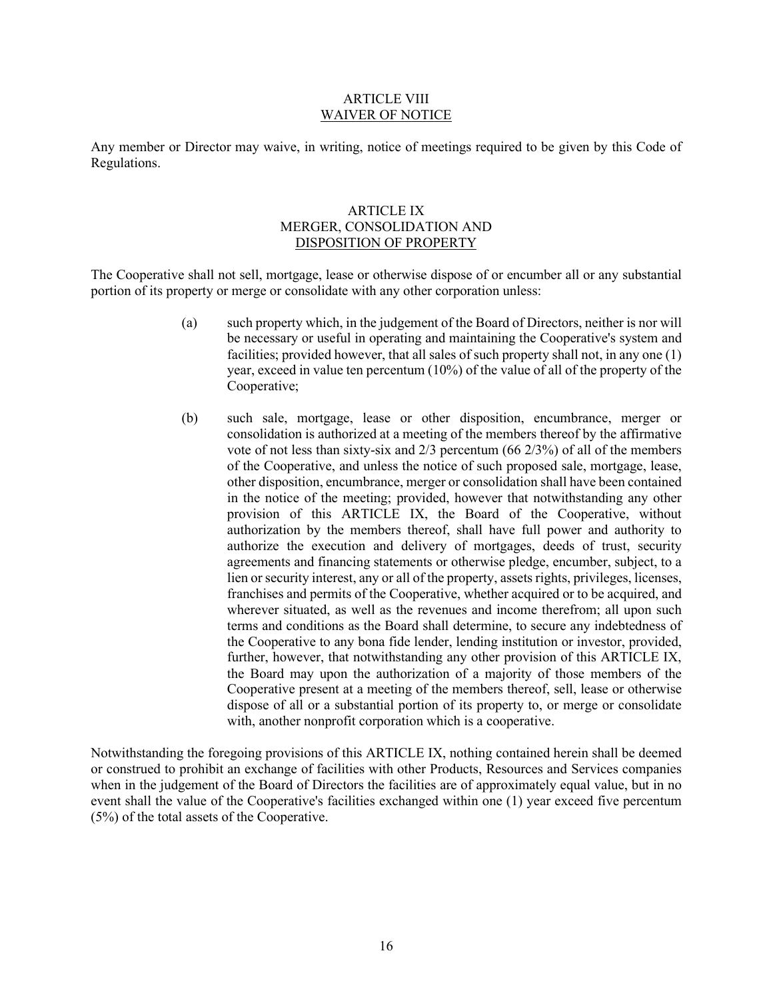### ARTICLE VIII WAIVER OF NOTICE

Any member or Director may waive, in writing, notice of meetings required to be given by this Code of Regulations.

## ARTICLE IX MERGER, CONSOLIDATION AND DISPOSITION OF PROPERTY

The Cooperative shall not sell, mortgage, lease or otherwise dispose of or encumber all or any substantial portion of its property or merge or consolidate with any other corporation unless:

- (a) such property which, in the judgement of the Board of Directors, neither is nor will be necessary or useful in operating and maintaining the Cooperative's system and facilities; provided however, that all sales of such property shall not, in any one (1) year, exceed in value ten percentum (10%) of the value of all of the property of the Cooperative;
- (b) such sale, mortgage, lease or other disposition, encumbrance, merger or consolidation is authorized at a meeting of the members thereof by the affirmative vote of not less than sixty-six and 2/3 percentum (66 2/3%) of all of the members of the Cooperative, and unless the notice of such proposed sale, mortgage, lease, other disposition, encumbrance, merger or consolidation shall have been contained in the notice of the meeting; provided, however that notwithstanding any other provision of this ARTICLE IX, the Board of the Cooperative, without authorization by the members thereof, shall have full power and authority to authorize the execution and delivery of mortgages, deeds of trust, security agreements and financing statements or otherwise pledge, encumber, subject, to a lien or security interest, any or all of the property, assets rights, privileges, licenses, franchises and permits of the Cooperative, whether acquired or to be acquired, and wherever situated, as well as the revenues and income therefrom; all upon such terms and conditions as the Board shall determine, to secure any indebtedness of the Cooperative to any bona fide lender, lending institution or investor, provided, further, however, that notwithstanding any other provision of this ARTICLE IX, the Board may upon the authorization of a majority of those members of the Cooperative present at a meeting of the members thereof, sell, lease or otherwise dispose of all or a substantial portion of its property to, or merge or consolidate with, another nonprofit corporation which is a cooperative.

Notwithstanding the foregoing provisions of this ARTICLE IX, nothing contained herein shall be deemed or construed to prohibit an exchange of facilities with other Products, Resources and Services companies when in the judgement of the Board of Directors the facilities are of approximately equal value, but in no event shall the value of the Cooperative's facilities exchanged within one (1) year exceed five percentum (5%) of the total assets of the Cooperative.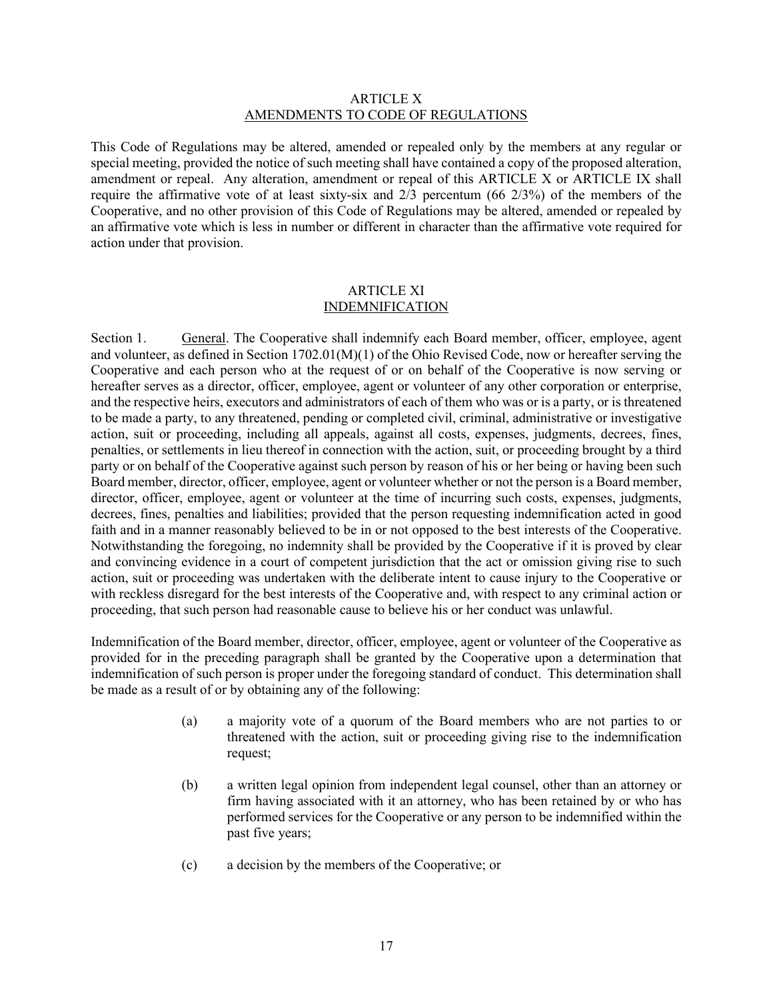### ARTICLE X AMENDMENTS TO CODE OF REGULATIONS

This Code of Regulations may be altered, amended or repealed only by the members at any regular or special meeting, provided the notice of such meeting shall have contained a copy of the proposed alteration, amendment or repeal. Any alteration, amendment or repeal of this ARTICLE X or ARTICLE IX shall require the affirmative vote of at least sixty-six and 2/3 percentum (66 2/3%) of the members of the Cooperative, and no other provision of this Code of Regulations may be altered, amended or repealed by an affirmative vote which is less in number or different in character than the affirmative vote required for action under that provision.

## ARTICLE XI INDEMNIFICATION

Section 1. General. The Cooperative shall indemnify each Board member, officer, employee, agent and volunteer, as defined in Section 1702.01(M)(1) of the Ohio Revised Code, now or hereafter serving the Cooperative and each person who at the request of or on behalf of the Cooperative is now serving or hereafter serves as a director, officer, employee, agent or volunteer of any other corporation or enterprise, and the respective heirs, executors and administrators of each of them who was or is a party, or is threatened to be made a party, to any threatened, pending or completed civil, criminal, administrative or investigative action, suit or proceeding, including all appeals, against all costs, expenses, judgments, decrees, fines, penalties, or settlements in lieu thereof in connection with the action, suit, or proceeding brought by a third party or on behalf of the Cooperative against such person by reason of his or her being or having been such Board member, director, officer, employee, agent or volunteer whether or not the person is a Board member, director, officer, employee, agent or volunteer at the time of incurring such costs, expenses, judgments, decrees, fines, penalties and liabilities; provided that the person requesting indemnification acted in good faith and in a manner reasonably believed to be in or not opposed to the best interests of the Cooperative. Notwithstanding the foregoing, no indemnity shall be provided by the Cooperative if it is proved by clear and convincing evidence in a court of competent jurisdiction that the act or omission giving rise to such action, suit or proceeding was undertaken with the deliberate intent to cause injury to the Cooperative or with reckless disregard for the best interests of the Cooperative and, with respect to any criminal action or proceeding, that such person had reasonable cause to believe his or her conduct was unlawful.

Indemnification of the Board member, director, officer, employee, agent or volunteer of the Cooperative as provided for in the preceding paragraph shall be granted by the Cooperative upon a determination that indemnification of such person is proper under the foregoing standard of conduct. This determination shall be made as a result of or by obtaining any of the following:

- (a) a majority vote of a quorum of the Board members who are not parties to or threatened with the action, suit or proceeding giving rise to the indemnification request;
- (b) a written legal opinion from independent legal counsel, other than an attorney or firm having associated with it an attorney, who has been retained by or who has performed services for the Cooperative or any person to be indemnified within the past five years;
- (c) a decision by the members of the Cooperative; or